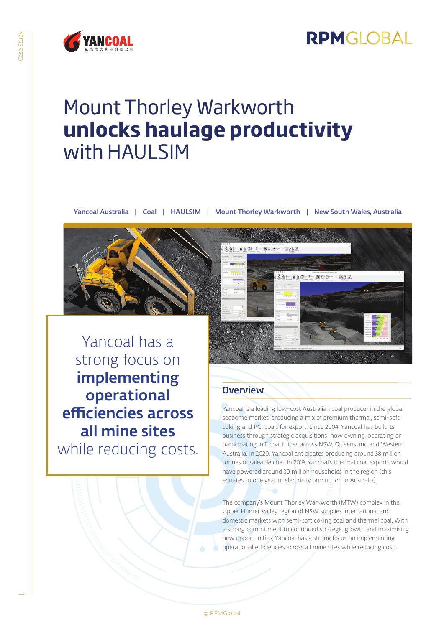

## Mount Thorley Warkworth **unlocks haulage productivity** with HAULSIM

Yancoal Australia | Coal | HAULSIM | Mount Thorley Warkworth | New South Wales, Australia



Yancoal has a strong focus on implementing operational efficiencies across all mine sites while reducing costs.



### **Overview**

Yancoal is a leading low-cost Australian coal producer in the global seaborne market, producing a mix of premium thermal, semi-soft coking and PCI coals for export. Since 2004, Yancoal has built its business through strategic acquisitions; now owning, operating or participating in 11 coal mines across NSW, Queensland and Western Australia. In 2020, Yancoal anticipates producing around 38 million tonnes of saleable coal. In 2019, Yancoal's thermal coal exports would have powered around 30 million households in the region (this equates to one year of electricity production in Australia).

The company's Mount Thorley Warkworth (MTW) complex in the Upper Hunter Valley region of NSW supplies international and domestic markets with semi-soft coking coal and thermal coal. With a strong commitment to continued strategic growth and maximising new opportunities, Yancoal has a strong focus on implementing operational efficiencies across all mine sites while reducing costs.